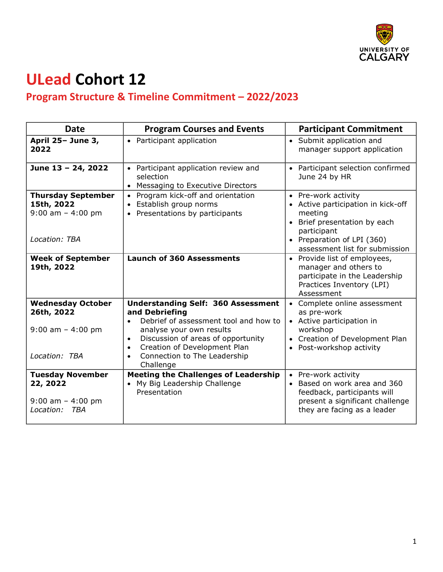

## **ULead Cohort 12**

## **Program Structure & Timeline Commitment – 2022/2023**

| <b>Date</b>                                                                      | <b>Program Courses and Events</b>                                                                                                                                                                                                                                                          | <b>Participant Commitment</b>                                                                                                                                                       |
|----------------------------------------------------------------------------------|--------------------------------------------------------------------------------------------------------------------------------------------------------------------------------------------------------------------------------------------------------------------------------------------|-------------------------------------------------------------------------------------------------------------------------------------------------------------------------------------|
| April 25- June 3,<br>2022                                                        | • Participant application                                                                                                                                                                                                                                                                  | • Submit application and<br>manager support application                                                                                                                             |
| June 13 - 24, 2022                                                               | • Participant application review and<br>selection<br>Messaging to Executive Directors<br>$\bullet$                                                                                                                                                                                         | • Participant selection confirmed<br>June 24 by HR                                                                                                                                  |
| <b>Thursday September</b><br>15th, 2022<br>$9:00$ am $-4:00$ pm<br>Location: TBA | Program kick-off and orientation<br>Establish group norms<br>$\bullet$<br>• Presentations by participants                                                                                                                                                                                  | • Pre-work activity<br>• Active participation in kick-off<br>meeting<br>• Brief presentation by each<br>participant<br>• Preparation of LPI (360)<br>assessment list for submission |
| <b>Week of September</b><br>19th, 2022                                           | <b>Launch of 360 Assessments</b>                                                                                                                                                                                                                                                           | • Provide list of employees,<br>manager and others to<br>participate in the Leadership<br>Practices Inventory (LPI)<br>Assessment                                                   |
| <b>Wednesday October</b><br>26th, 2022<br>$9:00$ am $-4:00$ pm<br>Location: TBA  | <b>Understanding Self: 360 Assessment</b><br>and Debriefing<br>Debrief of assessment tool and how to<br>$\bullet$<br>analyse your own results<br>Discussion of areas of opportunity<br>$\bullet$<br>Creation of Development Plan<br>$\bullet$<br>Connection to The Leadership<br>Challenge | • Complete online assessment<br>as pre-work<br>• Active participation in<br>workshop<br>• Creation of Development Plan<br>• Post-workshop activity                                  |
| <b>Tuesday November</b><br>22, 2022<br>$9:00$ am $-4:00$ pm<br>Location:<br>TBA  | <b>Meeting the Challenges of Leadership</b><br>My Big Leadership Challenge<br>Presentation                                                                                                                                                                                                 | • Pre-work activity<br>Based on work area and 360<br>feedback, participants will<br>present a significant challenge<br>they are facing as a leader                                  |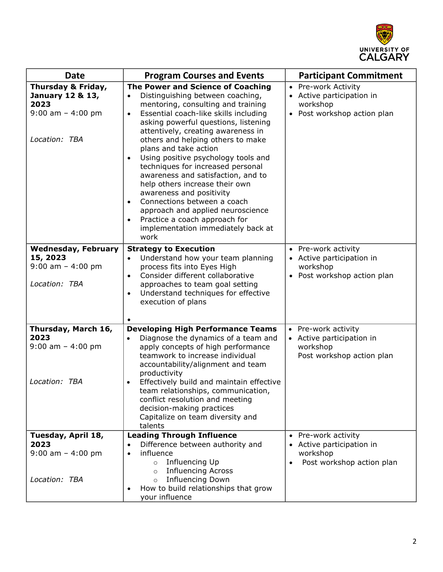

| <b>Date</b>                                                                             | <b>Program Courses and Events</b>                                                                                                                                                                                                                                                                                                                                                                                                                                                                                                                                                                                                                                          | <b>Participant Commitment</b>                                                                          |
|-----------------------------------------------------------------------------------------|----------------------------------------------------------------------------------------------------------------------------------------------------------------------------------------------------------------------------------------------------------------------------------------------------------------------------------------------------------------------------------------------------------------------------------------------------------------------------------------------------------------------------------------------------------------------------------------------------------------------------------------------------------------------------|--------------------------------------------------------------------------------------------------------|
| Thursday & Friday,<br>January 12 & 13,<br>2023<br>$9:00$ am $-4:00$ pm<br>Location: TBA | The Power and Science of Coaching<br>Distinguishing between coaching,<br>$\bullet$<br>mentoring, consulting and training<br>Essential coach-like skills including<br>$\bullet$<br>asking powerful questions, listening<br>attentively, creating awareness in<br>others and helping others to make<br>plans and take action<br>Using positive psychology tools and<br>$\bullet$<br>techniques for increased personal<br>awareness and satisfaction, and to<br>help others increase their own<br>awareness and positivity<br>Connections between a coach<br>approach and applied neuroscience<br>Practice a coach approach for<br>implementation immediately back at<br>work | • Pre-work Activity<br>Active participation in<br>$\bullet$<br>workshop<br>• Post workshop action plan |
| <b>Wednesday, February</b><br>15, 2023<br>$9:00$ am $-4:00$ pm<br>Location: TBA         | <b>Strategy to Execution</b><br>Understand how your team planning<br>$\bullet$<br>process fits into Eyes High<br>Consider different collaborative<br>$\bullet$<br>approaches to team goal setting<br>Understand techniques for effective<br>$\bullet$<br>execution of plans                                                                                                                                                                                                                                                                                                                                                                                                | • Pre-work activity<br>• Active participation in<br>workshop<br>Post workshop action plan              |
| Thursday, March 16,<br>2023<br>$9:00$ am $-4:00$ pm<br>Location: TBA                    | <b>Developing High Performance Teams</b><br>Diagnose the dynamics of a team and<br>$\bullet$<br>apply concepts of high performance<br>teamwork to increase individual<br>accountability/alignment and team<br>productivity<br>Effectively build and maintain effective<br>team relationships, communication,<br>conflict resolution and meeting<br>decision-making practices<br>Capitalize on team diversity and<br>talents                                                                                                                                                                                                                                                | • Pre-work activity<br>• Active participation in<br>workshop<br>Post workshop action plan              |
| Tuesday, April 18,<br>2023<br>$9:00$ am $-4:00$ pm<br>Location: TBA                     | <b>Leading Through Influence</b><br>Difference between authority and<br>influence<br>$\bullet$<br>Influencing Up<br>$\circ$<br><b>Influencing Across</b><br>$\circ$<br><b>Influencing Down</b><br>$\circ$<br>How to build relationships that grow<br>your influence                                                                                                                                                                                                                                                                                                                                                                                                        | • Pre-work activity<br>Active participation in<br>workshop<br>Post workshop action plan                |